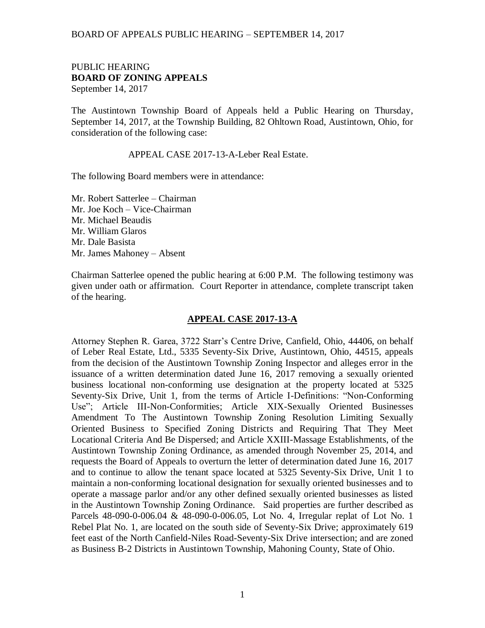## BOARD OF APPEALS PUBLIC HEARING – SEPTEMBER 14, 2017

## PUBLIC HEARING **BOARD OF ZONING APPEALS**  September 14, 2017

The Austintown Township Board of Appeals held a Public Hearing on Thursday, September 14, 2017, at the Township Building, 82 Ohltown Road, Austintown, Ohio, for consideration of the following case:

APPEAL CASE 2017-13-A-Leber Real Estate.

The following Board members were in attendance:

Mr. Robert Satterlee – Chairman Mr. Joe Koch – Vice-Chairman Mr. Michael Beaudis Mr. William Glaros Mr. Dale Basista Mr. James Mahoney – Absent

Chairman Satterlee opened the public hearing at 6:00 P.M. The following testimony was given under oath or affirmation. Court Reporter in attendance, complete transcript taken of the hearing.

## **APPEAL CASE 2017-13-A**

Attorney Stephen R. Garea, 3722 Starr's Centre Drive, Canfield, Ohio, 44406, on behalf of Leber Real Estate, Ltd., 5335 Seventy-Six Drive, Austintown, Ohio, 44515, appeals from the decision of the Austintown Township Zoning Inspector and alleges error in the issuance of a written determination dated June 16, 2017 removing a sexually oriented business locational non-conforming use designation at the property located at 5325 Seventy-Six Drive, Unit 1, from the terms of Article I-Definitions: "Non-Conforming Use"; Article III-Non-Conformities; Article XIX-Sexually Oriented Businesses Amendment To The Austintown Township Zoning Resolution Limiting Sexually Oriented Business to Specified Zoning Districts and Requiring That They Meet Locational Criteria And Be Dispersed; and Article XXIII-Massage Establishments, of the Austintown Township Zoning Ordinance, as amended through November 25, 2014, and requests the Board of Appeals to overturn the letter of determination dated June 16, 2017 and to continue to allow the tenant space located at 5325 Seventy-Six Drive, Unit 1 to maintain a non-conforming locational designation for sexually oriented businesses and to operate a massage parlor and/or any other defined sexually oriented businesses as listed in the Austintown Township Zoning Ordinance. Said properties are further described as Parcels 48-090-0-006.04 & 48-090-0-006.05, Lot No. 4, Irregular replat of Lot No. 1 Rebel Plat No. 1, are located on the south side of Seventy-Six Drive; approximately 619 feet east of the North Canfield-Niles Road-Seventy-Six Drive intersection; and are zoned as Business B-2 Districts in Austintown Township, Mahoning County, State of Ohio.